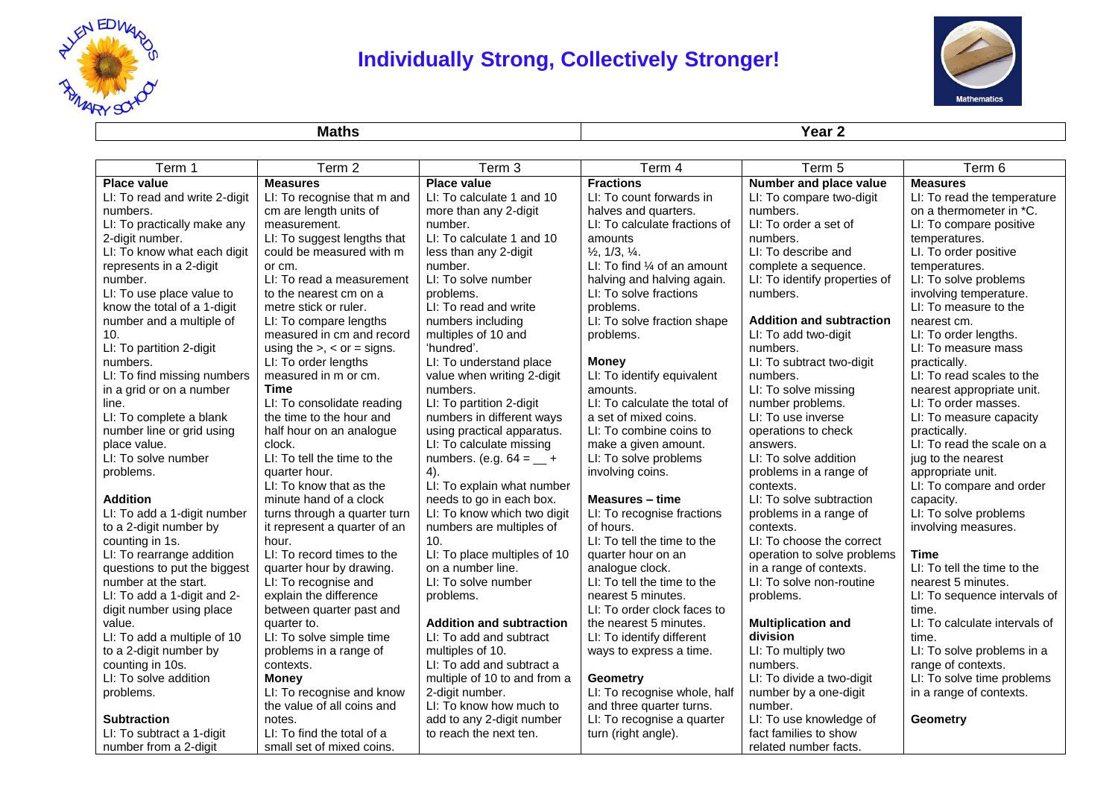

## **Individually Strong, Collectively Stronger!**



**Maths Year 2**

| Term 1                        | Term 2                            | Term 3                          | Term 4                                 | Term 5                          | Term 6                        |
|-------------------------------|-----------------------------------|---------------------------------|----------------------------------------|---------------------------------|-------------------------------|
| <b>Place value</b>            | <b>Measures</b>                   | <b>Place value</b>              | <b>Fractions</b>                       | Number and place value          | <b>Measures</b>               |
| LI: To read and write 2-digit | LI: To recognise that m and       | LI: To calculate 1 and 10       | LI: To count forwards in               | LI: To compare two-digit        | LI: To read the temperature   |
| numbers.                      | cm are length units of            | more than any 2-digit           | halves and quarters.                   | numbers.                        | on a thermometer in *C.       |
| LI: To practically make any   | measurement.                      | number.                         | LI: To calculate fractions of          | LI: To order a set of           | LI: To compare positive       |
| 2-digit number.               | LI: To suggest lengths that       | LI: To calculate 1 and 10       | amounts                                | numbers.                        | temperatures.                 |
| LI: To know what each digit   | could be measured with m          | less than any 2-digit           | $\frac{1}{2}$ , 1/3, $\frac{1}{4}$ .   | LI: To describe and             | LI. To order positive         |
| represents in a 2-digit       | or cm.                            | number.                         | LI: To find $\frac{1}{4}$ of an amount | complete a sequence.            | temperatures.                 |
| number.                       | LI: To read a measurement         | LI: To solve number             | halving and halving again.             | LI: To identify properties of   | LI: To solve problems         |
| LI: To use place value to     | to the nearest cm on a            | problems.                       | LI: To solve fractions                 | numbers.                        | involving temperature.        |
| know the total of a 1-digit   | metre stick or ruler.             | LI: To read and write           | problems.                              |                                 | LI: To measure to the         |
| number and a multiple of      | LI: To compare lengths            | numbers including               | LI: To solve fraction shape            | <b>Addition and subtraction</b> | nearest cm.                   |
| 10.                           | measured in cm and record         | multiples of 10 and             | problems.                              | LI: To add two-digit            | LI: To order lengths.         |
| LI: To partition 2-digit      | using the $>$ , $<$ or $=$ signs. | 'hundred'.                      |                                        | numbers.                        | LI: To measure mass           |
| numbers.                      | LI: To order lengths              | LI: To understand place         | <b>Money</b>                           | LI: To subtract two-digit       | practically.                  |
| LI: To find missing numbers   | measured in m or cm.              | value when writing 2-digit      | LI: To identify equivalent             | numbers.                        | LI: To read scales to the     |
| in a grid or on a number      | <b>Time</b>                       | numbers.                        | amounts.                               | LI: To solve missing            | nearest appropriate unit.     |
| line.                         | LI: To consolidate reading        | LI: To partition 2-digit        | LI: To calculate the total of          | number problems.                | LI: To order masses.          |
| LI: To complete a blank       | the time to the hour and          | numbers in different ways       | a set of mixed coins.                  | LI: To use inverse              | LI: To measure capacity       |
| number line or grid using     | half hour on an analogue          | using practical apparatus.      | LI: To combine coins to                | operations to check             | practically.                  |
| place value.                  | clock.                            | LI: To calculate missing        | make a given amount.                   | answers.                        | LI: To read the scale on a    |
| LI: To solve number           | LI: To tell the time to the       | numbers. (e.g. $64 = 4$         | LI: To solve problems                  | LI: To solve addition           | jug to the nearest            |
| problems.                     | quarter hour.                     | 4).                             | involving coins.                       | problems in a range of          | appropriate unit.             |
|                               | LI: To know that as the           | LI: To explain what number      |                                        | contexts.                       | LI: To compare and order      |
| <b>Addition</b>               | minute hand of a clock            | needs to go in each box.        | Measures - time                        | LI: To solve subtraction        | capacity.                     |
| LI: To add a 1-digit number   | turns through a quarter turn      | LI: To know which two digit     | LI: To recognise fractions             | problems in a range of          | LI: To solve problems         |
| to a 2-digit number by        | it represent a quarter of an      | numbers are multiples of        | of hours.                              | contexts.                       | involving measures.           |
| counting in 1s.               | hour.                             | 10.                             | LI: To tell the time to the            | LI: To choose the correct       |                               |
| LI: To rearrange addition     | LI: To record times to the        | LI: To place multiples of 10    | quarter hour on an                     | operation to solve problems     | <b>Time</b>                   |
| questions to put the biggest  | quarter hour by drawing.          | on a number line.               | analogue clock.                        | in a range of contexts.         | LI: To tell the time to the   |
| number at the start.          | LI: To recognise and              | LI: To solve number             | LI: To tell the time to the            | LI: To solve non-routine        | nearest 5 minutes.            |
| LI: To add a 1-digit and 2-   | explain the difference            | problems.                       | nearest 5 minutes.                     | problems.                       | LI: To sequence intervals of  |
| digit number using place      | between quarter past and          |                                 | LI: To order clock faces to            |                                 | time.                         |
| value.                        | quarter to.                       | <b>Addition and subtraction</b> | the nearest 5 minutes.                 | <b>Multiplication and</b>       | LI: To calculate intervals of |
| LI: To add a multiple of 10   | LI: To solve simple time          | LI: To add and subtract         | LI: To identify different              | division                        | time.                         |
| to a 2-digit number by        | problems in a range of            | multiples of 10.                | ways to express a time.                | LI: To multiply two             | LI: To solve problems in a    |
| counting in 10s.              | contexts.                         | LI: To add and subtract a       |                                        | numbers.                        | range of contexts.            |
| LI: To solve addition         | <b>Money</b>                      | multiple of 10 to and from a    | <b>Geometry</b>                        | LI: To divide a two-digit       | LI: To solve time problems    |
| problems.                     | LI: To recognise and know         | 2-digit number.                 | LI: To recognise whole, half           | number by a one-digit           | in a range of contexts.       |
|                               | the value of all coins and        | LI: To know how much to         | and three quarter turns.               | number.                         |                               |
| <b>Subtraction</b>            | notes.                            | add to any 2-digit number       | LI: To recognise a quarter             | LI: To use knowledge of         | Geometry                      |
| LI: To subtract a 1-digit     | LI: To find the total of a        | to reach the next ten.          | turn (right angle).                    | fact families to show           |                               |
| number from a 2-digit         | small set of mixed coins.         |                                 |                                        | related number facts.           |                               |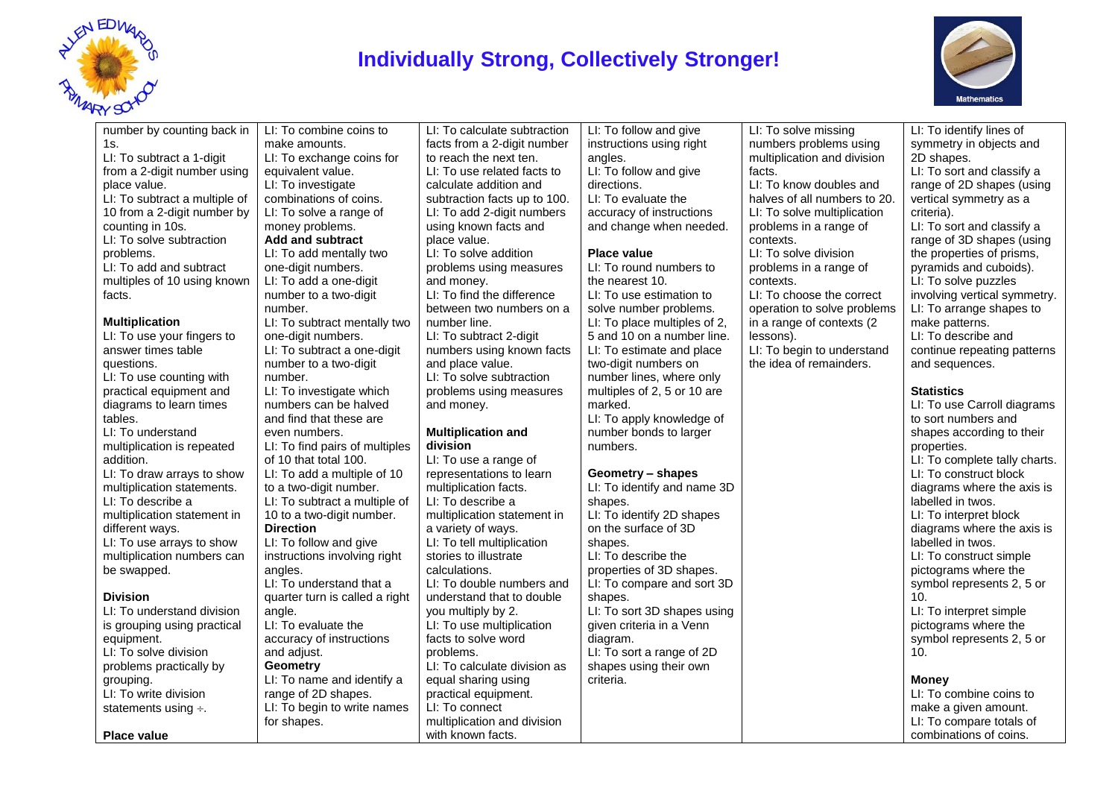

## **Individually Strong, Collectively Stronger!**



| number by counting back in    | LI: To combine coins to        | LI: To calculate subtraction | LI: To follow and give       | LI: To solve missing         | LI: To identify lines of      |
|-------------------------------|--------------------------------|------------------------------|------------------------------|------------------------------|-------------------------------|
| 1s.                           | make amounts.                  | facts from a 2-digit number  | instructions using right     | numbers problems using       | symmetry in objects and       |
| LI: To subtract a 1-digit     | LI: To exchange coins for      | to reach the next ten.       | angles.                      | multiplication and division  | 2D shapes.                    |
| from a 2-digit number using   | equivalent value.              | LI: To use related facts to  | LI: To follow and give       | facts.                       | LI: To sort and classify a    |
| place value.                  | LI: To investigate             | calculate addition and       | directions.                  | LI: To know doubles and      | range of 2D shapes (using     |
| LI: To subtract a multiple of | combinations of coins.         | subtraction facts up to 100. | LI: To evaluate the          | halves of all numbers to 20. | vertical symmetry as a        |
| 10 from a 2-digit number by   | LI: To solve a range of        | LI: To add 2-digit numbers   | accuracy of instructions     | LI: To solve multiplication  | criteria).                    |
| counting in 10s.              | money problems.                | using known facts and        | and change when needed.      | problems in a range of       | LI: To sort and classify a    |
| LI: To solve subtraction      | <b>Add and subtract</b>        | place value.                 |                              | contexts.                    | range of 3D shapes (using     |
| problems.                     | LI: To add mentally two        | LI: To solve addition        | Place value                  | LI: To solve division        | the properties of prisms,     |
| LI: To add and subtract       | one-digit numbers.             | problems using measures      | LI: To round numbers to      | problems in a range of       | pyramids and cuboids).        |
| multiples of 10 using known   | LI: To add a one-digit         | and money.                   | the nearest 10.              | contexts.                    | LI: To solve puzzles          |
| facts.                        | number to a two-digit          | LI: To find the difference   | LI: To use estimation to     | LI: To choose the correct    | involving vertical symmetry.  |
|                               | number.                        | between two numbers on a     | solve number problems.       | operation to solve problems  | LI: To arrange shapes to      |
| <b>Multiplication</b>         | LI: To subtract mentally two   | number line.                 | LI: To place multiples of 2, | in a range of contexts (2    | make patterns.                |
| LI: To use your fingers to    | one-digit numbers.             | LI: To subtract 2-digit      | 5 and 10 on a number line.   | lessons).                    | LI: To describe and           |
| answer times table            | LI: To subtract a one-digit    | numbers using known facts    | LI: To estimate and place    | LI: To begin to understand   | continue repeating patterns   |
| questions.                    | number to a two-digit          | and place value.             | two-digit numbers on         | the idea of remainders.      | and sequences.                |
| LI: To use counting with      | number.                        | LI: To solve subtraction     | number lines, where only     |                              |                               |
| practical equipment and       | LI: To investigate which       | problems using measures      | multiples of 2, 5 or 10 are  |                              | <b>Statistics</b>             |
| diagrams to learn times       | numbers can be halved          | and money.                   | marked.                      |                              | LI: To use Carroll diagrams   |
| tables.                       | and find that these are        |                              | LI: To apply knowledge of    |                              | to sort numbers and           |
| LI: To understand             | even numbers.                  | <b>Multiplication and</b>    | number bonds to larger       |                              | shapes according to their     |
| multiplication is repeated    | LI: To find pairs of multiples | division                     | numbers.                     |                              | properties.                   |
| addition.                     | of 10 that total 100.          | LI: To use a range of        |                              |                              | LI: To complete tally charts. |
| LI: To draw arrays to show    | LI: To add a multiple of 10    | representations to learn     | Geometry - shapes            |                              | LI: To construct block        |
| multiplication statements.    | to a two-digit number.         | multiplication facts.        | LI: To identify and name 3D  |                              | diagrams where the axis is    |
| LI: To describe a             | LI: To subtract a multiple of  | LI: To describe a            | shapes.                      |                              | labelled in twos.             |
| multiplication statement in   | 10 to a two-digit number.      | multiplication statement in  | LI: To identify 2D shapes    |                              | LI: To interpret block        |
| different ways.               | <b>Direction</b>               | a variety of ways.           | on the surface of 3D         |                              | diagrams where the axis is    |
| LI: To use arrays to show     | LI: To follow and give         | LI: To tell multiplication   | shapes.                      |                              | labelled in twos.             |
| multiplication numbers can    | instructions involving right   | stories to illustrate        | LI: To describe the          |                              | LI: To construct simple       |
| be swapped.                   | angles.                        | calculations.                | properties of 3D shapes.     |                              | pictograms where the          |
|                               | LI: To understand that a       | LI: To double numbers and    | LI: To compare and sort 3D   |                              | symbol represents 2, 5 or     |
| <b>Division</b>               | quarter turn is called a right | understand that to double    | shapes.                      |                              | 10.                           |
| LI: To understand division    | angle.                         | you multiply by 2.           | LI: To sort 3D shapes using  |                              | LI: To interpret simple       |
| is grouping using practical   | LI: To evaluate the            | LI: To use multiplication    | given criteria in a Venn     |                              | pictograms where the          |
| equipment.                    | accuracy of instructions       | facts to solve word          | diagram.                     |                              | symbol represents 2, 5 or     |
| LI: To solve division         | and adjust.                    | problems.                    | LI: To sort a range of 2D    |                              | 10.                           |
| problems practically by       | <b>Geometry</b>                | LI: To calculate division as | shapes using their own       |                              |                               |
| grouping.                     | LI: To name and identify a     | equal sharing using          | criteria.                    |                              | <b>Money</b>                  |
| LI: To write division         | range of 2D shapes.            | practical equipment.         |                              |                              | LI: To combine coins to       |
| statements using $\div$ .     | LI: To begin to write names    | LI: To connect               |                              |                              | make a given amount.          |
|                               | for shapes.                    | multiplication and division  |                              |                              | LI: To compare totals of      |
| Place value                   |                                | with known facts.            |                              |                              | combinations of coins.        |